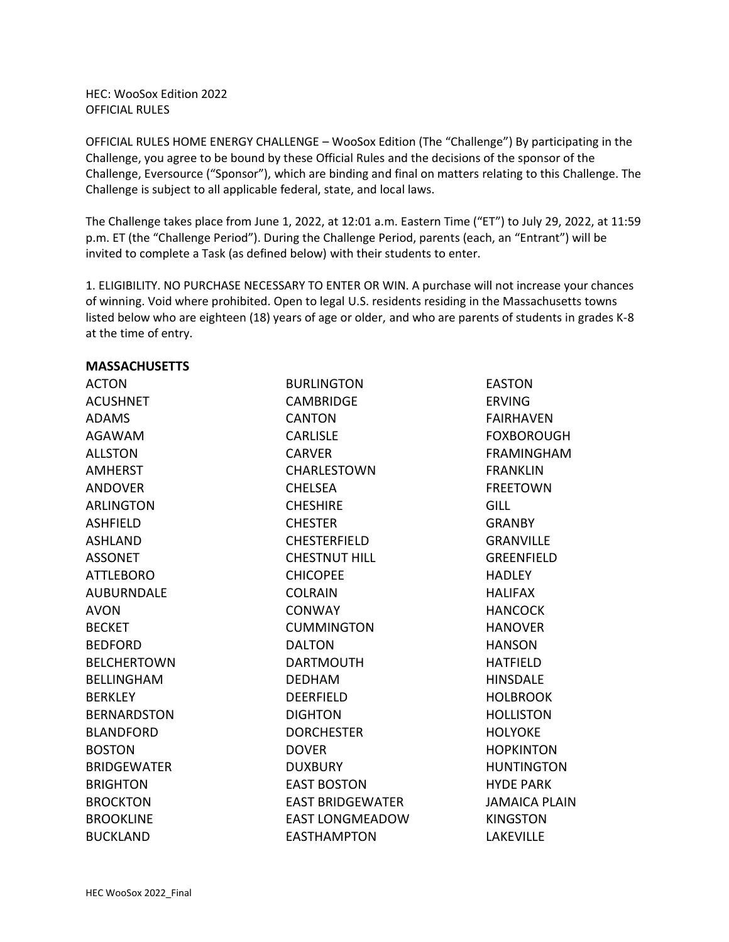HEC: WooSox Edition 2022 OFFICIAL RULES

OFFICIAL RULES HOME ENERGY CHALLENGE – WooSox Edition (The "Challenge") By participating in the Challenge, you agree to be bound by these Official Rules and the decisions of the sponsor of the Challenge, Eversource ("Sponsor"), which are binding and final on matters relating to this Challenge. The Challenge is subject to all applicable federal, state, and local laws.

The Challenge takes place from June 1, 2022, at 12:01 a.m. Eastern Time ("ET") to July 29, 2022, at 11:59 p.m. ET (the "Challenge Period"). During the Challenge Period, parents (each, an "Entrant") will be invited to complete a Task (as defined below) with their students to enter.

1. ELIGIBILITY. NO PURCHASE NECESSARY TO ENTER OR WIN. A purchase will not increase your chances of winning. Void where prohibited. Open to legal U.S. residents residing in the Massachusetts towns listed below who are eighteen (18) years of age or older, and who are parents of students in grades K-8 at the time of entry.

## **MASSACHUSETTS**

ACTON ACUSHNET ADAMS AGAWAM ALLSTON AMHERST ANDOVER ARLINGTON ASHFIELD ASHLAND ASSONET ATTLEBORO AUBURNDALE AVON BECKET BEDFORD BELCHERTOWN BELLINGHAM **BERKLEY** BERNARDSTON BLANDFORD BOSTON BRIDGEWATER **BRIGHTON** BROCKTON BROOKLINE BUCKLAND

BURLINGTON CAMBRIDGE **CANTON** CARLISLE CARVER CHARLESTOWN CHELSEA **CHESHIRE CHESTER** CHESTERFIELD CHESTNUT HILL CHICOPEE COLRAIN **CONWAY** CUMMINGTON DALTON DARTMOUTH DEDHAM DEERFIELD DIGHTON **DORCHESTER** DOVER DUXBURY EAST BOSTON EAST BRIDGEWATER EAST LONGMEADOW EASTHAMPTON

EASTON ERVING FAIRHAVEN FOXBOROUGH FRAMINGHAM FRANKLIN FREETOWN GILL GRANBY GRANVILLE GREENFIELD **HADLEY** HALIFAX HANCOCK HANOVER HANSON HATFIELD HINSDALE HOLBROOK HOLLISTON **HOLYOKE** HOPKINTON HUNTINGTON HYDE PARK JAMAICA PLAIN KINGSTON LAKEVILLE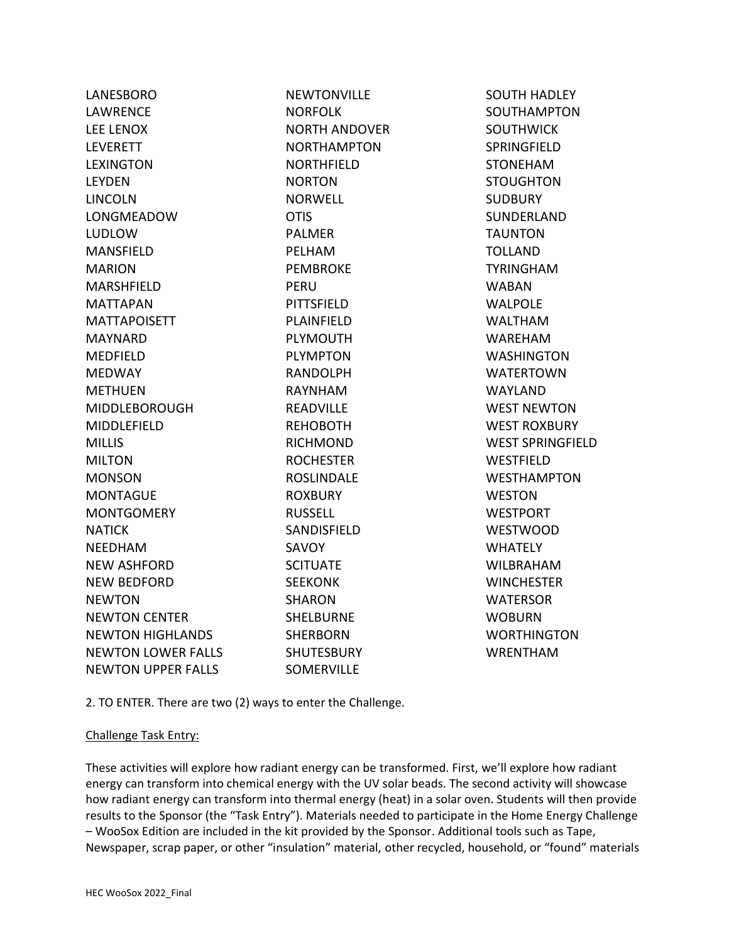| LANESBORO                 | <b>NEWTONVILLE</b>   | <b>SOUTH HADLEY</b>     |
|---------------------------|----------------------|-------------------------|
| LAWRENCE                  | <b>NORFOLK</b>       | SOUTHAMPTON             |
| <b>LEE LENOX</b>          | <b>NORTH ANDOVER</b> | <b>SOUTHWICK</b>        |
| <b>LEVERETT</b>           | <b>NORTHAMPTON</b>   | SPRINGFIELD             |
| <b>LEXINGTON</b>          | <b>NORTHFIELD</b>    | <b>STONEHAM</b>         |
| <b>LEYDEN</b>             | <b>NORTON</b>        | <b>STOUGHTON</b>        |
| <b>LINCOLN</b>            | <b>NORWELL</b>       | <b>SUDBURY</b>          |
| LONGMEADOW                | <b>OTIS</b>          | SUNDERLAND              |
| <b>LUDLOW</b>             | <b>PALMER</b>        | <b>TAUNTON</b>          |
| <b>MANSFIELD</b>          | PELHAM               | <b>TOLLAND</b>          |
| <b>MARION</b>             | <b>PEMBROKE</b>      | <b>TYRINGHAM</b>        |
| MARSHFIELD                | PERU                 | <b>WABAN</b>            |
| <b>MATTAPAN</b>           | <b>PITTSFIELD</b>    | <b>WALPOLE</b>          |
| <b>MATTAPOISETT</b>       | PLAINFIELD           | <b>WALTHAM</b>          |
| MAYNARD                   | <b>PLYMOUTH</b>      | <b>WAREHAM</b>          |
| MEDFIELD                  | <b>PLYMPTON</b>      | <b>WASHINGTON</b>       |
| <b>MEDWAY</b>             | <b>RANDOLPH</b>      | <b>WATERTOWN</b>        |
| <b>METHUEN</b>            | RAYNHAM              | <b>WAYLAND</b>          |
| <b>MIDDLEBOROUGH</b>      | <b>READVILLE</b>     | <b>WEST NEWTON</b>      |
| MIDDLEFIELD               | <b>REHOBOTH</b>      | <b>WEST ROXBURY</b>     |
| <b>MILLIS</b>             | <b>RICHMOND</b>      | <b>WEST SPRINGFIELD</b> |
| <b>MILTON</b>             | <b>ROCHESTER</b>     | WESTFIELD               |
| <b>MONSON</b>             | <b>ROSLINDALE</b>    | <b>WESTHAMPTON</b>      |
| <b>MONTAGUE</b>           | <b>ROXBURY</b>       | <b>WESTON</b>           |
| <b>MONTGOMERY</b>         | <b>RUSSELL</b>       | <b>WESTPORT</b>         |
| <b>NATICK</b>             | SANDISFIELD          | <b>WESTWOOD</b>         |
| <b>NEEDHAM</b>            | <b>SAVOY</b>         | <b>WHATELY</b>          |
| <b>NEW ASHFORD</b>        | <b>SCITUATE</b>      | <b>WILBRAHAM</b>        |
| <b>NEW BEDFORD</b>        | <b>SEEKONK</b>       | <b>WINCHESTER</b>       |
| <b>NEWTON</b>             | <b>SHARON</b>        | <b>WATERSOR</b>         |
| <b>NEWTON CENTER</b>      | <b>SHELBURNE</b>     | <b>WOBURN</b>           |
| <b>NEWTON HIGHLANDS</b>   | <b>SHERBORN</b>      | <b>WORTHINGTON</b>      |
| <b>NEWTON LOWER FALLS</b> | <b>SHUTESBURY</b>    | <b>WRENTHAM</b>         |
| <b>NEWTON UPPER FALLS</b> | <b>SOMERVILLE</b>    |                         |
|                           |                      |                         |

2. TO ENTER. There are two (2) ways to enter the Challenge.

## Challenge Task Entry:

These activities will explore how radiant energy can be transformed. First, we'll explore how radiant energy can transform into chemical energy with the UV solar beads. The second activity will showcase how radiant energy can transform into thermal energy (heat) in a solar oven. Students will then provide results to the Sponsor (the "Task Entry"). Materials needed to participate in the Home Energy Challenge – WooSox Edition are included in the kit provided by the Sponsor. Additional tools such as Tape, Newspaper, scrap paper, or other "insulation" material, other recycled, household, or "found" materials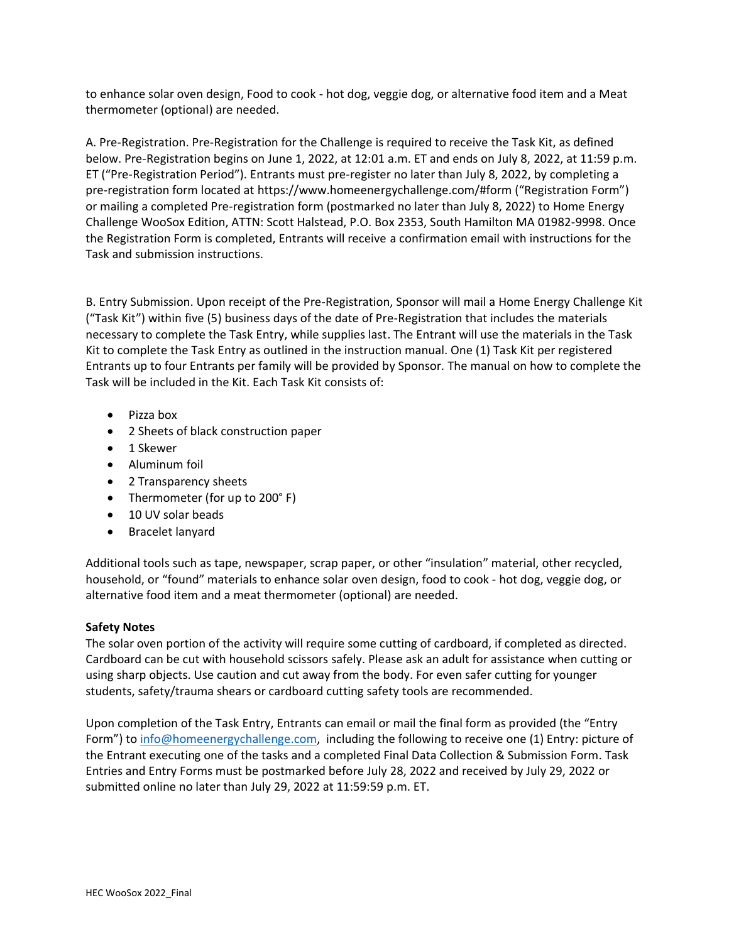to enhance solar oven design, Food to cook - hot dog, veggie dog, or alternative food item and a Meat thermometer (optional) are needed.

A. Pre-Registration. Pre-Registration for the Challenge is required to receive the Task Kit, as defined below. Pre-Registration begins on June 1, 2022, at 12:01 a.m. ET and ends on July 8, 2022, at 11:59 p.m. ET ("Pre-Registration Period"). Entrants must pre-register no later than July 8, 2022, by completing a pre-registration form located at https://www.homeenergychallenge.com/#form ("Registration Form") or mailing a completed Pre-registration form (postmarked no later than July 8, 2022) to Home Energy Challenge WooSox Edition, ATTN: Scott Halstead, P.O. Box 2353, South Hamilton MA 01982-9998. Once the Registration Form is completed, Entrants will receive a confirmation email with instructions for the Task and submission instructions.

B. Entry Submission. Upon receipt of the Pre-Registration, Sponsor will mail a Home Energy Challenge Kit ("Task Kit") within five (5) business days of the date of Pre-Registration that includes the materials necessary to complete the Task Entry, while supplies last. The Entrant will use the materials in the Task Kit to complete the Task Entry as outlined in the instruction manual. One (1) Task Kit per registered Entrants up to four Entrants per family will be provided by Sponsor. The manual on how to complete the Task will be included in the Kit. Each Task Kit consists of:

- Pizza box
- 2 Sheets of black construction paper
- 1 Skewer
- Aluminum foil
- 2 Transparency sheets
- Thermometer (for up to 200°F)
- 10 UV solar beads
- Bracelet lanyard

Additional tools such as tape, newspaper, scrap paper, or other "insulation" material, other recycled, household, or "found" materials to enhance solar oven design, food to cook - hot dog, veggie dog, or alternative food item and a meat thermometer (optional) are needed.

## **Safety Notes**

The solar oven portion of the activity will require some cutting of cardboard, if completed as directed. Cardboard can be cut with household scissors safely. Please ask an adult for assistance when cutting or using sharp objects. Use caution and cut away from the body. For even safer cutting for younger students, safety/trauma shears or cardboard cutting safety tools are recommended.

Upon completion of the Task Entry, Entrants can email or mail the final form as provided (the "Entry Form") to [info@homeenergychallenge.com,](mailto:info@homeenergychallenge.com) including the following to receive one (1) Entry: picture of the Entrant executing one of the tasks and a completed Final Data Collection & Submission Form. Task Entries and Entry Forms must be postmarked before July 28, 2022 and received by July 29, 2022 or submitted online no later than July 29, 2022 at 11:59:59 p.m. ET.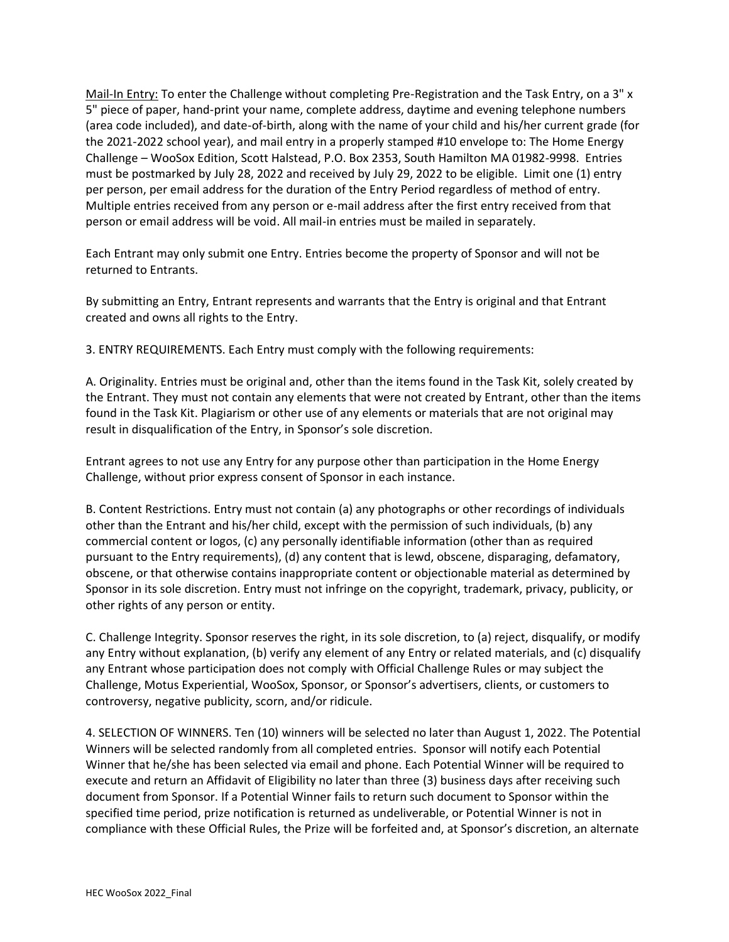Mail-In Entry: To enter the Challenge without completing Pre-Registration and the Task Entry, on a 3" x 5" piece of paper, hand-print your name, complete address, daytime and evening telephone numbers (area code included), and date-of-birth, along with the name of your child and his/her current grade (for the 2021-2022 school year), and mail entry in a properly stamped #10 envelope to: The Home Energy Challenge – WooSox Edition, Scott Halstead, P.O. Box 2353, South Hamilton MA 01982-9998. Entries must be postmarked by July 28, 2022 and received by July 29, 2022 to be eligible. Limit one (1) entry per person, per email address for the duration of the Entry Period regardless of method of entry. Multiple entries received from any person or e-mail address after the first entry received from that person or email address will be void. All mail-in entries must be mailed in separately.

Each Entrant may only submit one Entry. Entries become the property of Sponsor and will not be returned to Entrants.

By submitting an Entry, Entrant represents and warrants that the Entry is original and that Entrant created and owns all rights to the Entry.

3. ENTRY REQUIREMENTS. Each Entry must comply with the following requirements:

A. Originality. Entries must be original and, other than the items found in the Task Kit, solely created by the Entrant. They must not contain any elements that were not created by Entrant, other than the items found in the Task Kit. Plagiarism or other use of any elements or materials that are not original may result in disqualification of the Entry, in Sponsor's sole discretion.

Entrant agrees to not use any Entry for any purpose other than participation in the Home Energy Challenge, without prior express consent of Sponsor in each instance.

B. Content Restrictions. Entry must not contain (a) any photographs or other recordings of individuals other than the Entrant and his/her child, except with the permission of such individuals, (b) any commercial content or logos, (c) any personally identifiable information (other than as required pursuant to the Entry requirements), (d) any content that is lewd, obscene, disparaging, defamatory, obscene, or that otherwise contains inappropriate content or objectionable material as determined by Sponsor in its sole discretion. Entry must not infringe on the copyright, trademark, privacy, publicity, or other rights of any person or entity.

C. Challenge Integrity. Sponsor reserves the right, in its sole discretion, to (a) reject, disqualify, or modify any Entry without explanation, (b) verify any element of any Entry or related materials, and (c) disqualify any Entrant whose participation does not comply with Official Challenge Rules or may subject the Challenge, Motus Experiential, WooSox, Sponsor, or Sponsor's advertisers, clients, or customers to controversy, negative publicity, scorn, and/or ridicule.

4. SELECTION OF WINNERS. Ten (10) winners will be selected no later than August 1, 2022. The Potential Winners will be selected randomly from all completed entries. Sponsor will notify each Potential Winner that he/she has been selected via email and phone. Each Potential Winner will be required to execute and return an Affidavit of Eligibility no later than three (3) business days after receiving such document from Sponsor. If a Potential Winner fails to return such document to Sponsor within the specified time period, prize notification is returned as undeliverable, or Potential Winner is not in compliance with these Official Rules, the Prize will be forfeited and, at Sponsor's discretion, an alternate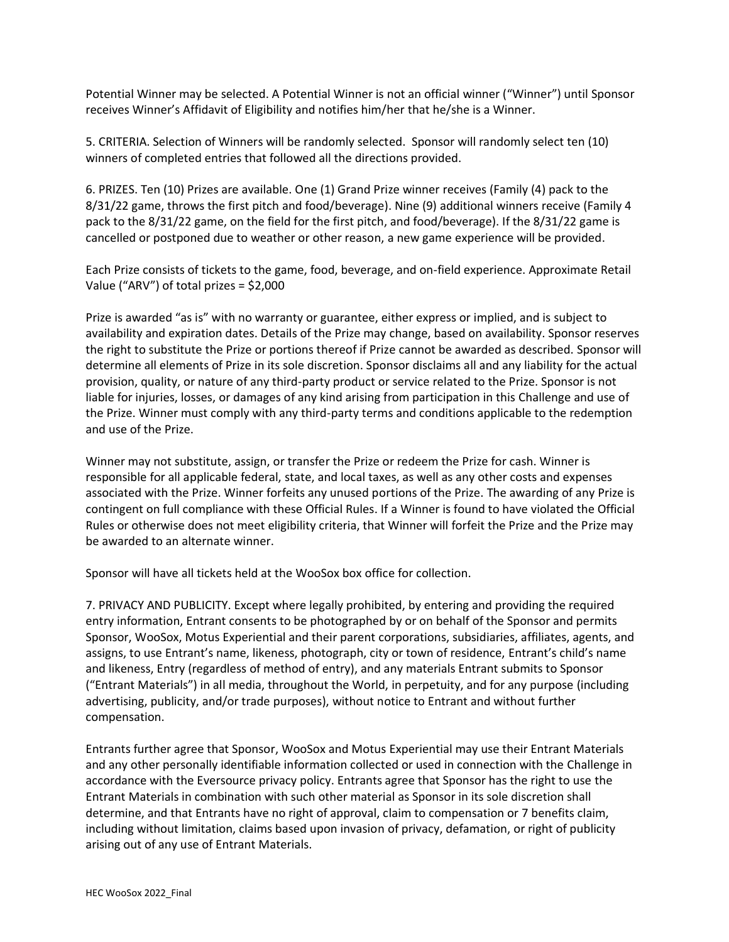Potential Winner may be selected. A Potential Winner is not an official winner ("Winner") until Sponsor receives Winner's Affidavit of Eligibility and notifies him/her that he/she is a Winner.

5. CRITERIA. Selection of Winners will be randomly selected. Sponsor will randomly select ten (10) winners of completed entries that followed all the directions provided.

6. PRIZES. Ten (10) Prizes are available. One (1) Grand Prize winner receives (Family (4) pack to the 8/31/22 game, throws the first pitch and food/beverage). Nine (9) additional winners receive (Family 4 pack to the 8/31/22 game, on the field for the first pitch, and food/beverage). If the 8/31/22 game is cancelled or postponed due to weather or other reason, a new game experience will be provided.

Each Prize consists of tickets to the game, food, beverage, and on-field experience. Approximate Retail Value ("ARV") of total prizes = \$2,000

Prize is awarded "as is" with no warranty or guarantee, either express or implied, and is subject to availability and expiration dates. Details of the Prize may change, based on availability. Sponsor reserves the right to substitute the Prize or portions thereof if Prize cannot be awarded as described. Sponsor will determine all elements of Prize in its sole discretion. Sponsor disclaims all and any liability for the actual provision, quality, or nature of any third-party product or service related to the Prize. Sponsor is not liable for injuries, losses, or damages of any kind arising from participation in this Challenge and use of the Prize. Winner must comply with any third-party terms and conditions applicable to the redemption and use of the Prize.

Winner may not substitute, assign, or transfer the Prize or redeem the Prize for cash. Winner is responsible for all applicable federal, state, and local taxes, as well as any other costs and expenses associated with the Prize. Winner forfeits any unused portions of the Prize. The awarding of any Prize is contingent on full compliance with these Official Rules. If a Winner is found to have violated the Official Rules or otherwise does not meet eligibility criteria, that Winner will forfeit the Prize and the Prize may be awarded to an alternate winner.

Sponsor will have all tickets held at the WooSox box office for collection.

7. PRIVACY AND PUBLICITY. Except where legally prohibited, by entering and providing the required entry information, Entrant consents to be photographed by or on behalf of the Sponsor and permits Sponsor, WooSox, Motus Experiential and their parent corporations, subsidiaries, affiliates, agents, and assigns, to use Entrant's name, likeness, photograph, city or town of residence, Entrant's child's name and likeness, Entry (regardless of method of entry), and any materials Entrant submits to Sponsor ("Entrant Materials") in all media, throughout the World, in perpetuity, and for any purpose (including advertising, publicity, and/or trade purposes), without notice to Entrant and without further compensation.

Entrants further agree that Sponsor, WooSox and Motus Experiential may use their Entrant Materials and any other personally identifiable information collected or used in connection with the Challenge in accordance with the Eversource privacy policy. Entrants agree that Sponsor has the right to use the Entrant Materials in combination with such other material as Sponsor in its sole discretion shall determine, and that Entrants have no right of approval, claim to compensation or 7 benefits claim, including without limitation, claims based upon invasion of privacy, defamation, or right of publicity arising out of any use of Entrant Materials.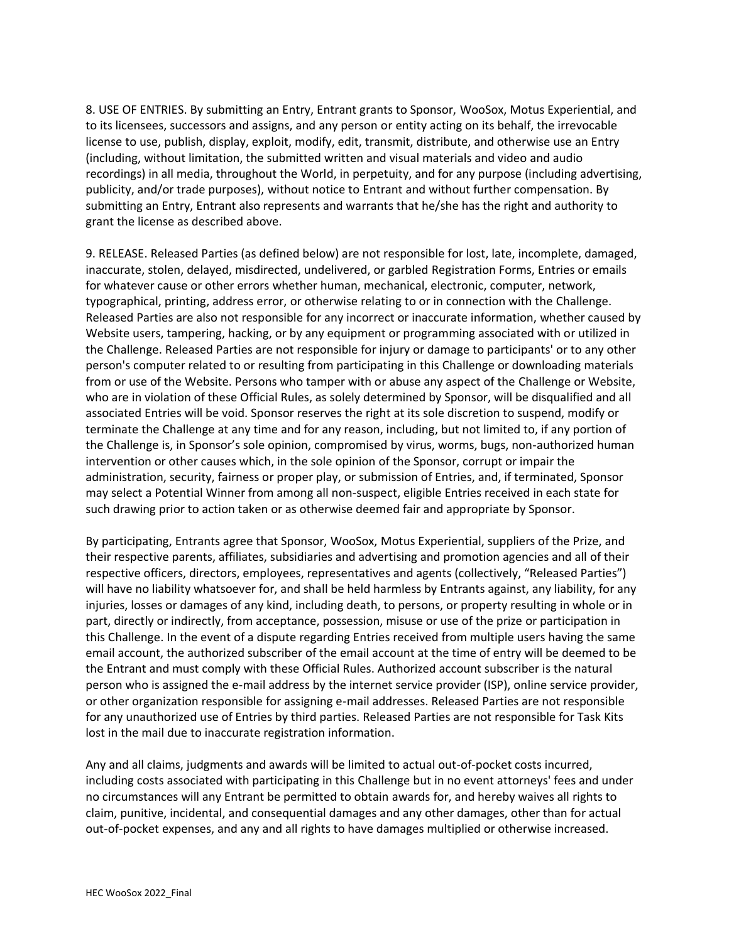8. USE OF ENTRIES. By submitting an Entry, Entrant grants to Sponsor, WooSox, Motus Experiential, and to its licensees, successors and assigns, and any person or entity acting on its behalf, the irrevocable license to use, publish, display, exploit, modify, edit, transmit, distribute, and otherwise use an Entry (including, without limitation, the submitted written and visual materials and video and audio recordings) in all media, throughout the World, in perpetuity, and for any purpose (including advertising, publicity, and/or trade purposes), without notice to Entrant and without further compensation. By submitting an Entry, Entrant also represents and warrants that he/she has the right and authority to grant the license as described above.

9. RELEASE. Released Parties (as defined below) are not responsible for lost, late, incomplete, damaged, inaccurate, stolen, delayed, misdirected, undelivered, or garbled Registration Forms, Entries or emails for whatever cause or other errors whether human, mechanical, electronic, computer, network, typographical, printing, address error, or otherwise relating to or in connection with the Challenge. Released Parties are also not responsible for any incorrect or inaccurate information, whether caused by Website users, tampering, hacking, or by any equipment or programming associated with or utilized in the Challenge. Released Parties are not responsible for injury or damage to participants' or to any other person's computer related to or resulting from participating in this Challenge or downloading materials from or use of the Website. Persons who tamper with or abuse any aspect of the Challenge or Website, who are in violation of these Official Rules, as solely determined by Sponsor, will be disqualified and all associated Entries will be void. Sponsor reserves the right at its sole discretion to suspend, modify or terminate the Challenge at any time and for any reason, including, but not limited to, if any portion of the Challenge is, in Sponsor's sole opinion, compromised by virus, worms, bugs, non-authorized human intervention or other causes which, in the sole opinion of the Sponsor, corrupt or impair the administration, security, fairness or proper play, or submission of Entries, and, if terminated, Sponsor may select a Potential Winner from among all non-suspect, eligible Entries received in each state for such drawing prior to action taken or as otherwise deemed fair and appropriate by Sponsor.

By participating, Entrants agree that Sponsor, WooSox, Motus Experiential, suppliers of the Prize, and their respective parents, affiliates, subsidiaries and advertising and promotion agencies and all of their respective officers, directors, employees, representatives and agents (collectively, "Released Parties") will have no liability whatsoever for, and shall be held harmless by Entrants against, any liability, for any injuries, losses or damages of any kind, including death, to persons, or property resulting in whole or in part, directly or indirectly, from acceptance, possession, misuse or use of the prize or participation in this Challenge. In the event of a dispute regarding Entries received from multiple users having the same email account, the authorized subscriber of the email account at the time of entry will be deemed to be the Entrant and must comply with these Official Rules. Authorized account subscriber is the natural person who is assigned the e-mail address by the internet service provider (ISP), online service provider, or other organization responsible for assigning e-mail addresses. Released Parties are not responsible for any unauthorized use of Entries by third parties. Released Parties are not responsible for Task Kits lost in the mail due to inaccurate registration information.

Any and all claims, judgments and awards will be limited to actual out-of-pocket costs incurred, including costs associated with participating in this Challenge but in no event attorneys' fees and under no circumstances will any Entrant be permitted to obtain awards for, and hereby waives all rights to claim, punitive, incidental, and consequential damages and any other damages, other than for actual out-of-pocket expenses, and any and all rights to have damages multiplied or otherwise increased.